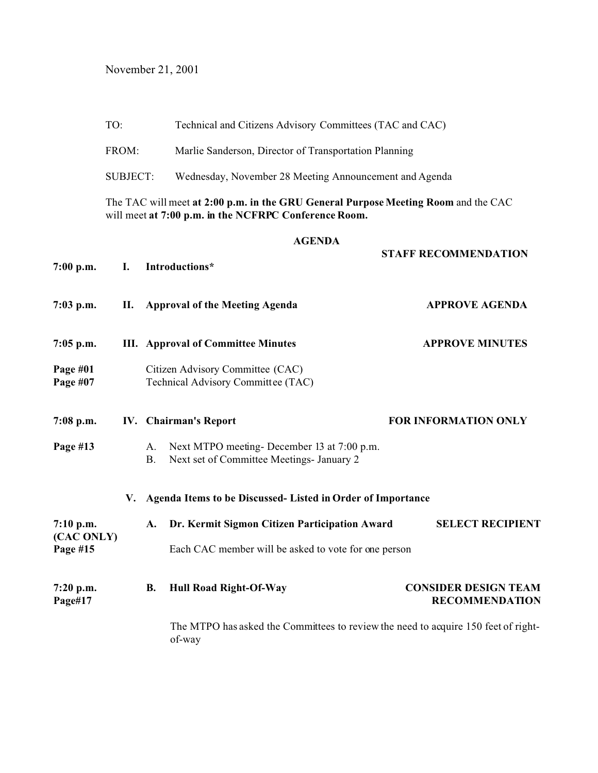November 21, 2001

|                        | TO:                                                                                                                                         |                                                      | Technical and Citizens Advisory Committees (TAC and CAC)                                     |                                                      |  |  |  |
|------------------------|---------------------------------------------------------------------------------------------------------------------------------------------|------------------------------------------------------|----------------------------------------------------------------------------------------------|------------------------------------------------------|--|--|--|
|                        | FROM:                                                                                                                                       |                                                      | Marlie Sanderson, Director of Transportation Planning                                        |                                                      |  |  |  |
|                        | <b>SUBJECT:</b>                                                                                                                             |                                                      | Wednesday, November 28 Meeting Announcement and Agenda                                       |                                                      |  |  |  |
|                        | The TAC will meet at 2:00 p.m. in the GRU General Purpose Meeting Room and the CAC<br>will meet at 7:00 p.m. in the NCFRPC Conference Room. |                                                      |                                                                                              |                                                      |  |  |  |
| $7:00$ p.m.            | Ι.                                                                                                                                          |                                                      | <b>AGENDA</b><br>Introductions*                                                              | <b>STAFF RECOMMENDATION</b>                          |  |  |  |
| $7:03$ p.m.            | П.                                                                                                                                          |                                                      | <b>Approval of the Meeting Agenda</b>                                                        | <b>APPROVE AGENDA</b>                                |  |  |  |
| $7:05$ p.m.            |                                                                                                                                             |                                                      | <b>III.</b> Approval of Committee Minutes                                                    | <b>APPROVE MINUTES</b>                               |  |  |  |
| Page #01<br>Page #07   |                                                                                                                                             |                                                      | Citizen Advisory Committee (CAC)<br>Technical Advisory Committee (TAC)                       |                                                      |  |  |  |
| $7:08$ p.m.            |                                                                                                                                             | IV. Chairman's Report<br><b>FOR INFORMATION ONLY</b> |                                                                                              |                                                      |  |  |  |
| Page #13               |                                                                                                                                             | A.<br><b>B.</b>                                      | Next MTPO meeting-December 13 at 7:00 p.m.<br>Next set of Committee Meetings- January 2      |                                                      |  |  |  |
|                        | V.                                                                                                                                          |                                                      | Agenda Items to be Discussed- Listed in Order of Importance                                  |                                                      |  |  |  |
| $7:10$ p.m.            |                                                                                                                                             | <b>A.</b>                                            | Dr. Kermit Sigmon Citizen Participation Award                                                | <b>SELECT RECIPIENT</b>                              |  |  |  |
| (CAC ONLY)<br>Page #15 |                                                                                                                                             |                                                      | Each CAC member will be asked to vote for one person                                         |                                                      |  |  |  |
| $7:20$ p.m.<br>Page#17 |                                                                                                                                             | <b>B.</b>                                            | <b>Hull Road Right-Of-Way</b>                                                                | <b>CONSIDER DESIGN TEAM</b><br><b>RECOMMENDATION</b> |  |  |  |
|                        |                                                                                                                                             |                                                      | The MTPO has asked the Committees to review the need to acquire 150 feet of right-<br>of-way |                                                      |  |  |  |